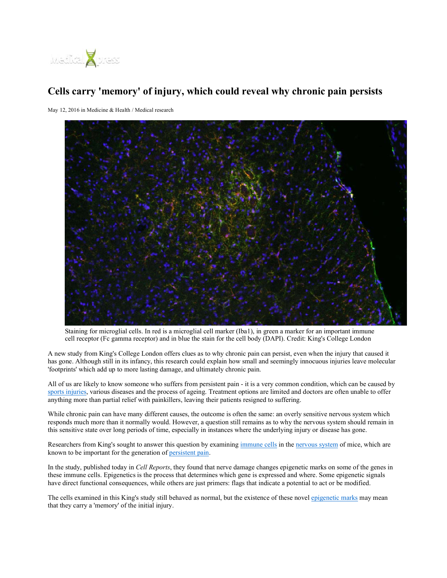

## **Cells carry 'memory' of injury, which could reveal why chronic pain persists**

May 12, 2016 in Medicine & Health / Medical research



Staining for microglial cells. In red is a microglial cell marker (Iba1), in green a marker for an important immune cell receptor (Fc gamma receptor) and in blue the stain for the cell body (DAPI). Credit: King's College London

A new study from King's College London offers clues as to why chronic pain can persist, even when the injury that caused it has gone. Although still in its infancy, this research could explain how small and seemingly innocuous injuries leave molecular 'footprints' which add up to more lasting damage, and ultimately chronic pain.

All of us are likely to know someone who suffers from persistent pain - it is a very common condition, which can be caused by sports injuries, various diseases and the process of ageing. Treatment options are limited and doctors are often unable to offer anything more than partial relief with painkillers, leaving their patients resigned to suffering.

While chronic pain can have many different causes, the outcome is often the same: an overly sensitive nervous system which responds much more than it normally would. However, a question still remains as to why the nervous system should remain in this sensitive state over long periods of time, especially in instances where the underlying injury or disease has gone.

Researchers from King's sought to answer this question by examining immune cells in the nervous system of mice, which are known to be important for the generation of persistent pain.

In the study, published today in *Cell Reports*, they found that nerve damage changes epigenetic marks on some of the genes in these immune cells. Epigenetics is the process that determines which gene is expressed and where. Some epigenetic signals have direct functional consequences, while others are just primers: flags that indicate a potential to act or be modified.

The cells examined in this King's study still behaved as normal, but the existence of these novel epigenetic marks may mean that they carry a 'memory' of the initial injury.